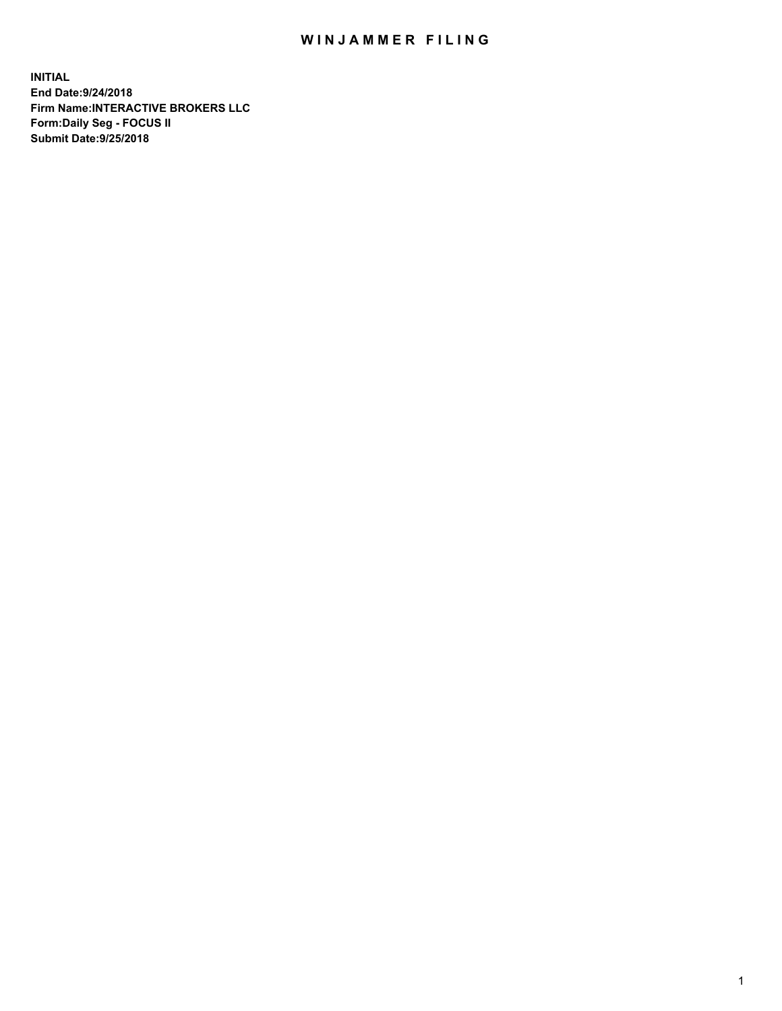## WIN JAMMER FILING

**INITIAL End Date:9/24/2018 Firm Name:INTERACTIVE BROKERS LLC Form:Daily Seg - FOCUS II Submit Date:9/25/2018**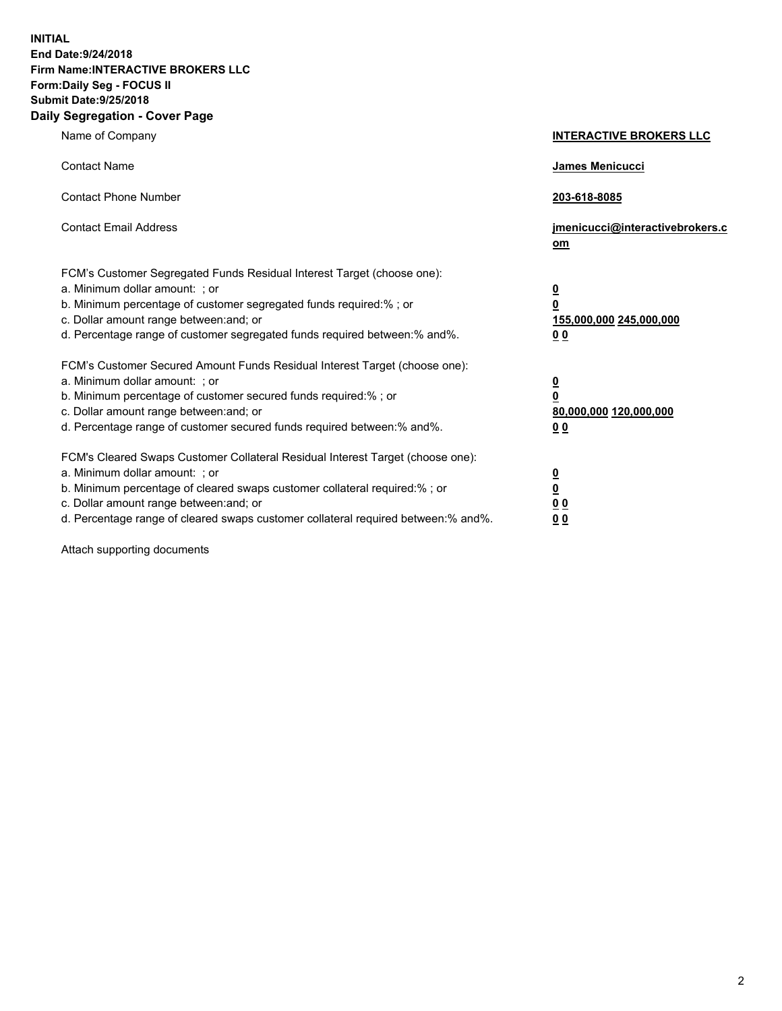**INITIAL End Date:9/24/2018 Firm Name:INTERACTIVE BROKERS LLC Form:Daily Seg - FOCUS II Submit Date:9/25/2018 Daily Segregation - Cover Page**

| Name of Company                                                                                                                                                                                                                                                                                                                | <b>INTERACTIVE BROKERS LLC</b>                                                                  |
|--------------------------------------------------------------------------------------------------------------------------------------------------------------------------------------------------------------------------------------------------------------------------------------------------------------------------------|-------------------------------------------------------------------------------------------------|
| <b>Contact Name</b>                                                                                                                                                                                                                                                                                                            | James Menicucci                                                                                 |
| <b>Contact Phone Number</b>                                                                                                                                                                                                                                                                                                    | 203-618-8085                                                                                    |
| <b>Contact Email Address</b>                                                                                                                                                                                                                                                                                                   | jmenicucci@interactivebrokers.c<br>om                                                           |
| FCM's Customer Segregated Funds Residual Interest Target (choose one):<br>a. Minimum dollar amount: ; or<br>b. Minimum percentage of customer segregated funds required:% ; or<br>c. Dollar amount range between: and; or<br>d. Percentage range of customer segregated funds required between:% and%.                         | $\overline{\mathbf{0}}$<br>$\overline{\mathbf{0}}$<br>155,000,000 245,000,000<br>0 <sub>0</sub> |
| FCM's Customer Secured Amount Funds Residual Interest Target (choose one):<br>a. Minimum dollar amount: ; or<br>b. Minimum percentage of customer secured funds required:% ; or<br>c. Dollar amount range between: and; or<br>d. Percentage range of customer secured funds required between:% and%.                           | $\overline{\mathbf{0}}$<br>0<br>80,000,000 120,000,000<br>0 <sub>0</sub>                        |
| FCM's Cleared Swaps Customer Collateral Residual Interest Target (choose one):<br>a. Minimum dollar amount: ; or<br>b. Minimum percentage of cleared swaps customer collateral required:% ; or<br>c. Dollar amount range between: and; or<br>d. Percentage range of cleared swaps customer collateral required between:% and%. | $\overline{\mathbf{0}}$<br><u>0</u><br>$\underline{0}$ $\underline{0}$<br>00                    |

Attach supporting documents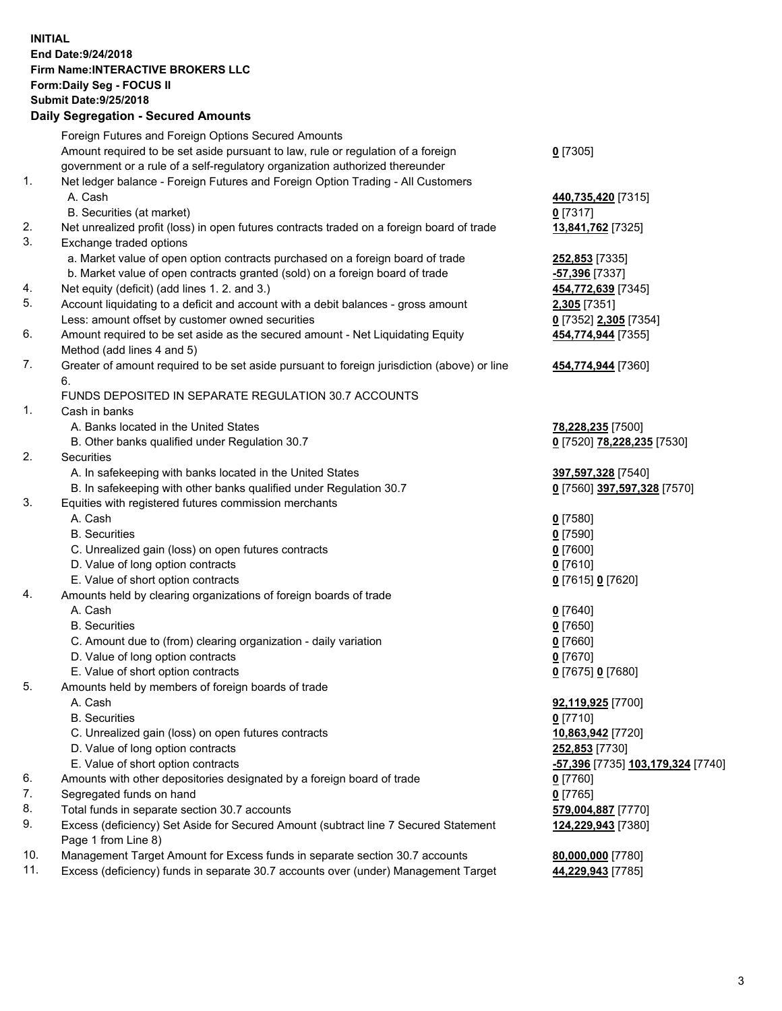## **INITIAL End Date:9/24/2018 Firm Name:INTERACTIVE BROKERS LLC Form:Daily Seg - FOCUS II Submit Date:9/25/2018 Daily Segregation - Secured Amounts**

|     | Daily Segregation - Secured Amounts                                                         |                                                         |
|-----|---------------------------------------------------------------------------------------------|---------------------------------------------------------|
|     | Foreign Futures and Foreign Options Secured Amounts                                         |                                                         |
|     | Amount required to be set aside pursuant to law, rule or regulation of a foreign            | $0$ [7305]                                              |
|     | government or a rule of a self-regulatory organization authorized thereunder                |                                                         |
| 1.  | Net ledger balance - Foreign Futures and Foreign Option Trading - All Customers             |                                                         |
|     | A. Cash                                                                                     | 440,735,420 [7315]                                      |
|     | B. Securities (at market)                                                                   | $0$ [7317]                                              |
| 2.  | Net unrealized profit (loss) in open futures contracts traded on a foreign board of trade   | 13,841,762 [7325]                                       |
| 3.  | Exchange traded options                                                                     |                                                         |
|     | a. Market value of open option contracts purchased on a foreign board of trade              | 252,853 [7335]                                          |
|     | b. Market value of open contracts granted (sold) on a foreign board of trade                | -57,396 [7337]                                          |
| 4.  | Net equity (deficit) (add lines 1. 2. and 3.)                                               | 454,772,639 [7345]                                      |
| 5.  | Account liquidating to a deficit and account with a debit balances - gross amount           | 2,305 [7351]                                            |
|     | Less: amount offset by customer owned securities                                            | 0 [7352] 2,305 [7354]                                   |
| 6.  | Amount required to be set aside as the secured amount - Net Liquidating Equity              | 454,774,944 [7355]                                      |
|     | Method (add lines 4 and 5)                                                                  |                                                         |
| 7.  | Greater of amount required to be set aside pursuant to foreign jurisdiction (above) or line | 454,774,944 [7360]                                      |
|     | 6.                                                                                          |                                                         |
|     | FUNDS DEPOSITED IN SEPARATE REGULATION 30.7 ACCOUNTS                                        |                                                         |
| 1.  | Cash in banks                                                                               |                                                         |
|     | A. Banks located in the United States                                                       | 78,228,235 [7500]                                       |
|     | B. Other banks qualified under Regulation 30.7                                              | 0 [7520] 78,228,235 [7530]                              |
| 2.  | <b>Securities</b>                                                                           |                                                         |
|     | A. In safekeeping with banks located in the United States                                   | 397,597,328 [7540]                                      |
|     | B. In safekeeping with other banks qualified under Regulation 30.7                          | 0 [7560] 397,597,328 [7570]                             |
| 3.  | Equities with registered futures commission merchants                                       |                                                         |
|     | A. Cash                                                                                     | $0$ [7580]                                              |
|     | <b>B.</b> Securities                                                                        | $0$ [7590]                                              |
|     | C. Unrealized gain (loss) on open futures contracts                                         | $0$ [7600]                                              |
|     | D. Value of long option contracts                                                           | $0$ [7610]                                              |
|     | E. Value of short option contracts                                                          | 0 [7615] 0 [7620]                                       |
| 4.  | Amounts held by clearing organizations of foreign boards of trade                           |                                                         |
|     | A. Cash                                                                                     | $0$ [7640]                                              |
|     | <b>B.</b> Securities                                                                        | $0$ [7650]                                              |
|     | C. Amount due to (from) clearing organization - daily variation                             | $0$ [7660]                                              |
|     | D. Value of long option contracts                                                           | $0$ [7670]                                              |
| 5.  | E. Value of short option contracts                                                          | 0 [7675] 0 [7680]                                       |
|     | Amounts held by members of foreign boards of trade                                          |                                                         |
|     | A. Cash<br><b>B.</b> Securities                                                             | 92,119,925 [7700]<br>$0$ [7710]                         |
|     | C. Unrealized gain (loss) on open futures contracts                                         | 10,863,942 [7720]                                       |
|     | D. Value of long option contracts                                                           | 252,853 [7730]                                          |
|     | E. Value of short option contracts                                                          | <u>-<b>57,396</b> [</u> 7735] <u>103,179,324</u> [7740] |
| 6.  | Amounts with other depositories designated by a foreign board of trade                      | $0$ [7760]                                              |
| 7.  | Segregated funds on hand                                                                    | $0$ [7765]                                              |
| 8.  | Total funds in separate section 30.7 accounts                                               | 579,004,887 [7770]                                      |
| 9.  | Excess (deficiency) Set Aside for Secured Amount (subtract line 7 Secured Statement         | 124,229,943 [7380]                                      |
|     | Page 1 from Line 8)                                                                         |                                                         |
| 10. | Management Target Amount for Excess funds in separate section 30.7 accounts                 | 80,000,000 [7780]                                       |
| 11. | Excess (deficiency) funds in separate 30.7 accounts over (under) Management Target          | 44,229,943 [7785]                                       |
|     |                                                                                             |                                                         |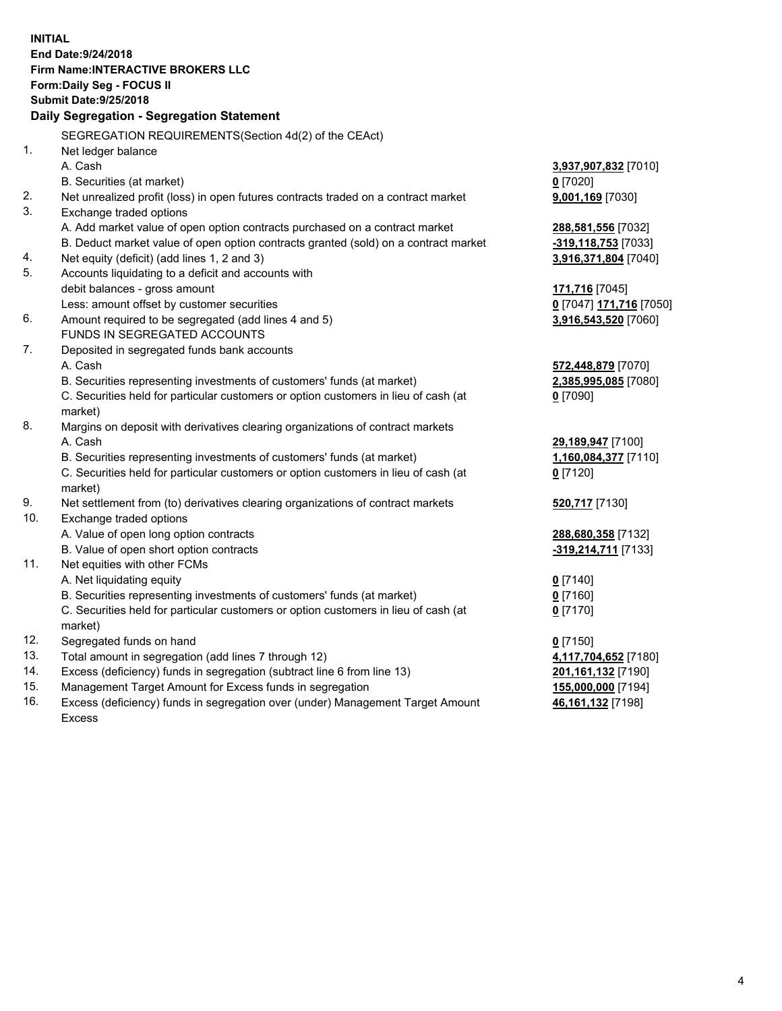**INITIAL End Date:9/24/2018 Firm Name:INTERACTIVE BROKERS LLC Form:Daily Seg - FOCUS II Submit Date:9/25/2018 Daily Segregation - Segregation Statement** SEGREGATION REQUIREMENTS(Section 4d(2) of the CEAct) 1. Net ledger balance A. Cash **3,937,907,832** [7010] B. Securities (at market) **0** [7020] 2. Net unrealized profit (loss) in open futures contracts traded on a contract market **9,001,169** [7030] 3. Exchange traded options A. Add market value of open option contracts purchased on a contract market **288,581,556** [7032] B. Deduct market value of open option contracts granted (sold) on a contract market **-319,118,753** [7033] 4. Net equity (deficit) (add lines 1, 2 and 3) **3,916,371,804** [7040] 5. Accounts liquidating to a deficit and accounts with debit balances - gross amount **171,716** [7045] Less: amount offset by customer securities **0** [7047] **171,716** [7050] 6. Amount required to be segregated (add lines 4 and 5) **3,916,543,520** [7060] FUNDS IN SEGREGATED ACCOUNTS 7. Deposited in segregated funds bank accounts A. Cash **572,448,879** [7070] B. Securities representing investments of customers' funds (at market) **2,385,995,085** [7080] C. Securities held for particular customers or option customers in lieu of cash (at market) **0** [7090] 8. Margins on deposit with derivatives clearing organizations of contract markets A. Cash **29,189,947** [7100] B. Securities representing investments of customers' funds (at market) **1,160,084,377** [7110] C. Securities held for particular customers or option customers in lieu of cash (at market) **0** [7120] 9. Net settlement from (to) derivatives clearing organizations of contract markets **520,717** [7130] 10. Exchange traded options A. Value of open long option contracts **288,680,358** [7132] B. Value of open short option contracts **-319,214,711** [7133] 11. Net equities with other FCMs A. Net liquidating equity **0** [7140] B. Securities representing investments of customers' funds (at market) **0** [7160] C. Securities held for particular customers or option customers in lieu of cash (at market) **0** [7170] 12. Segregated funds on hand **0** [7150] 13. Total amount in segregation (add lines 7 through 12) **4,117,704,652** [7180] 14. Excess (deficiency) funds in segregation (subtract line 6 from line 13) **201,161,132** [7190] 15. Management Target Amount for Excess funds in segregation **155,000,000** [7194] **46,161,132** [7198]

16. Excess (deficiency) funds in segregation over (under) Management Target Amount Excess